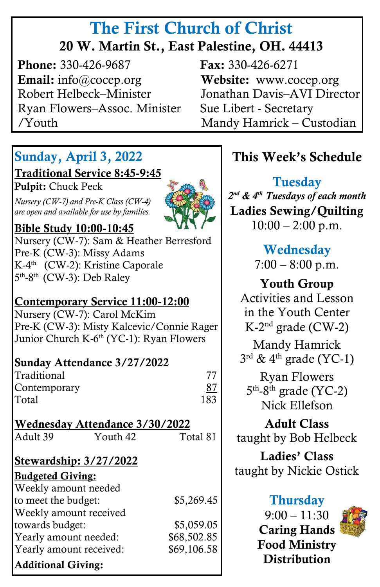# The First Church of Christ 20 W. Martin St., East Palestine, OH. 44413

**Phone:** 330-426-9687 **Fax:** 330-426-6271 Email: info@cocep.org Website: www.cocep.org Robert Helbeck–Minister Jonathan Davis–AVI Director Ryan Flowers–Assoc. Minister Sue Libert - Secretary /Youth Mandy Hamrick – Custodian

# Sunday, April 3, 2022

#### Traditional Service 8:45-9:45

٦

Pulpit: Chuck Peck

 *are open and available for use by families. Nursery (CW-7) and Pre-K Class (CW-4)*



### Bible Study 10:00-10:45

Nursery (CW-7): Sam & Heather Berresford Pre-K (CW-3): Missy Adams K-4<sup>th</sup> (CW-2): Kristine Caporale 5<sup>th</sup>-8<sup>th</sup> (CW-3): Deb Raley

#### Contemporary Service 11:00-12:00

Nursery (CW-7): Carol McKim Pre-K (CW-3): Misty Kalcevic/Connie Rager Junior Church K-6<sup>th</sup> (YC-1): Ryan Flowers

#### Sunday Attendance 3/27/2022

| Traditional  |     |
|--------------|-----|
| Contemporary | 87  |
| Total        | 183 |

| Wednesday Attendance 3/30/2022 |                        |          |  |
|--------------------------------|------------------------|----------|--|
| Adult 39                       | Youth 42               | Total 81 |  |
|                                | Stewardship: 3/27/2022 |          |  |
| <b>Budgeted Giving:</b>        |                        |          |  |

| Duugeleu Olvilig.         |             |
|---------------------------|-------------|
| Weekly amount needed      |             |
| to meet the budget:       | \$5,269.45  |
| Weekly amount received    |             |
| towards budget:           | \$5,059.05  |
| Yearly amount needed:     | \$68,502.85 |
| Yearly amount received:   | \$69,106.58 |
| <b>Additional Giving:</b> |             |

j

# This Week's Schedule

**Tuesday** *2 nd & 4th Tuesdays of each month* Ladies Sewing/Quilting  $10:00 - 2:00 \text{ p.m.}$ 

## **Wednesday**

 $7:00 - 8:00 \text{ p.m.}$ 

Youth Group Activities and Lesson in the Youth Center  $K$ -2<sup>nd</sup> grade (CW-2)

Mandy Hamrick  $3^{\text{rd}}$  & 4<sup>th</sup> grade (YC-1)

Ryan Flowers 5<sup>th</sup>-8<sup>th</sup> grade (YC-2) Nick Ellefson

Adult Class taught by Bob Helbeck

Ladies' Class taught by Nickie Ostick

### **Thursday**

 $9:00 - 11:30$ Caring Hands Food Ministry **Distribution** 

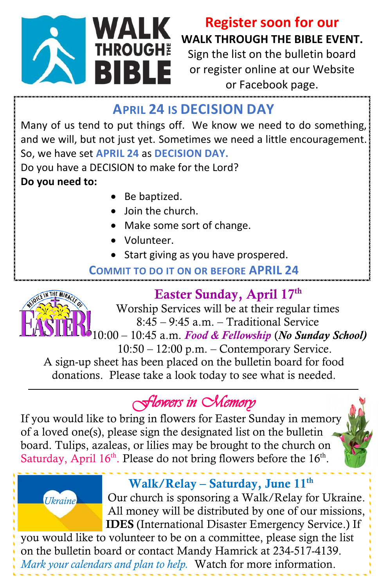

# **Register soon for our WALK THROUGH THE BIBLE EVENT.**

Sign the list on the bulletin board or register online at our Website or Facebook page.

## **APRIL 24 IS DECISION DAY**

Many of us tend to put things off. We know we need to do something, and we will, but not just yet. Sometimes we need a little encouragement. So, we have set **APRIL 24** as **DECISION DAY.** 

Do you have a DECISION to make for the Lord? **Do you need to:**

- Be baptized.
- Join the church.
- Make some sort of change.
- Volunteer.
- Start giving as you have prospered.

### **COMMIT TO DO IT ON OR BEFORE APRIL 24**



# Easter Sunday, April 17<sup>th</sup>

 Worship Services will be at their regular times 8:45 – 9:45 a.m. – Traditional Service

10:00 – 10:45 a.m. *Food & Fellowship* (*No Sunday School)*

 10:50 – 12:00 p.m. – Contemporary Service. A sign-up sheet has been placed on the bulletin board for food donations. Please take a look today to see what is needed.

# *Flowers in Memory*

If you would like to bring in flowers for Easter Sunday in memory of a loved one(s), please sign the designated list on the bulletin board. Tulips, azaleas, or lilies may be brought to the church on Saturday, April  $16<sup>th</sup>$ . Please do not bring flowers before the  $16<sup>th</sup>$ .



# Walk/Relay – Saturday, June  $11<sup>th</sup>$

 Our church is sponsoring a Walk/Relay for Ukraine. All money will be distributed by one of our missions, IDES (International Disaster Emergency Service.) If

you would like to volunteer to be on a committee, please sign the list on the bulletin board or contact Mandy Hamrick at 234-517-4139. *Mark your calendars and plan to help.* Watch for more information.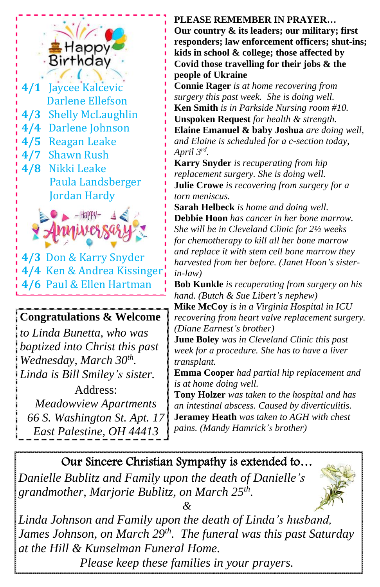

- **4/3** Shelly McLaughlin Darlene Ellefson **4/4** Darlene Johnson **4/5** Reagan Leake **4/7** Shawn Rush **4/8** Nikki Leake Paula Landsberger
	- Jordan Hardy



**4/3** Don & Karry Snyder **4/4** Ken & Andrea Kissinger **4/6** Paul & Ellen Hartman

### **Congratulations & Welcome**

*to Linda Bunetta, who was baptized into Christ this past Wednesday, March 30th . Linda is Bill Smiley's sister.*

Address: *Meadowview Apartments 66 S. Washington St. Apt. 17 East Palestine, OH 44413*

#### **PLEASE REMEMBER IN PRAYER…**

**Our country & its leaders; our military; first responders; law enforcement officers; shut-ins; kids in school & college; those affected by Covid those travelling for their jobs & the people of Ukraine**

**Connie Rager** *is at home recovering from surgery this past week. She is doing well.* **Ken Smith** *is in Parkside Nursing room #10.* **Unspoken Request** *for health & strength.* **Elaine Emanuel & baby Joshua** *are doing well, and Elaine is scheduled for a c-section today, April 3rd .*

**Karry Snyder** *is recuperating from hip replacement surgery. She is doing well.* **Julie Crowe** *is recovering from surgery for a torn meniscus.*

**Sarah Helbeck** *is home and doing well.*  **Debbie Hoon** *has cancer in her bone marrow. She will be in Cleveland Clinic for 2½ weeks for chemotherapy to kill all her bone marrow and replace it with stem cell bone marrow they harvested from her before. (Janet Hoon's sisterin-law)*

**Bob Kunkle** *is recuperating from surgery on his hand. (Butch & Sue Libert's nephew)*

**Mike McCoy** *is in a Virginia Hospital in ICU recovering from heart valve replacement surgery. (Diane Earnest's brother)*

**June Boley** *was in Cleveland Clinic this past week for a procedure. She has to have a liver transplant.*

**Emma Cooper** *had partial hip replacement and is at home doing well.*

**Tony Holzer** *was taken to the hospital and has an intestinal abscess. Caused by diverticulitis.* **Jeramey Heath** *was taken to AGH with chest pains. (Mandy Hamrick's brother)*

### Our Sincere Christian Sympathy is extended to…

*Danielle Bublitz and Family upon the death of Danielle's grandmother, Marjorie Bublitz, on March 25th .*



*&*

*Linda Johnson and Family upon the death of Linda's husband, James Johnson, on March 29th . The funeral was this past Saturday at the Hill & Kunselman Funeral Home.*

*Please keep these families in your prayers.*